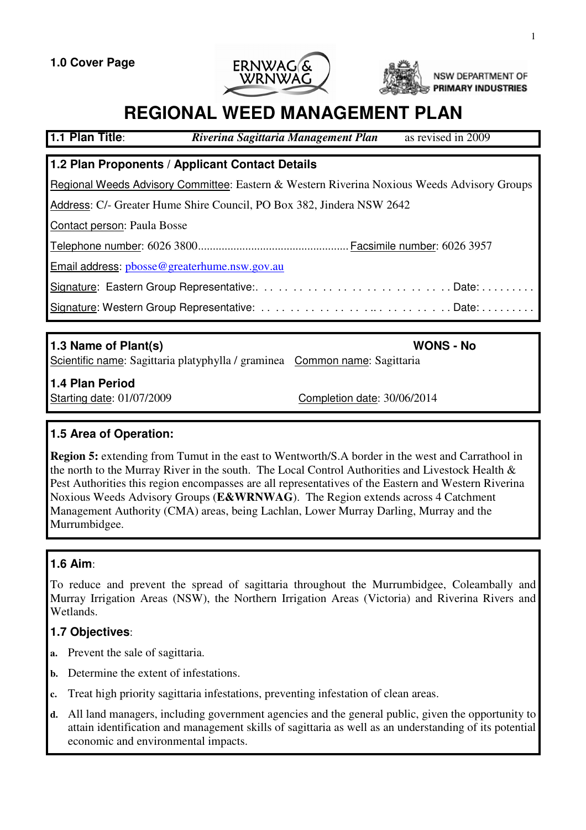**1.0 Cover Page**





NSW DEPARTMENT OF **PRIMARY INDUSTRIES** 

# **REGIONAL WEED MANAGEMENT PLAN**

| 1.1 Plan Title:                                                                                    | Riverina Sagittaria Management Plan | as revised in 2009 |  |  |  |
|----------------------------------------------------------------------------------------------------|-------------------------------------|--------------------|--|--|--|
| 1.2 Plan Proponents / Applicant Contact Details                                                    |                                     |                    |  |  |  |
|                                                                                                    |                                     |                    |  |  |  |
| <b>Regional Weeds Advisory Committee:</b> Eastern & Western Riverina Noxious Weeds Advisory Groups |                                     |                    |  |  |  |
| Address: C/- Greater Hume Shire Council, PO Box 382, Jindera NSW 2642                              |                                     |                    |  |  |  |
| Contact person: Paula Bosse                                                                        |                                     |                    |  |  |  |
|                                                                                                    |                                     |                    |  |  |  |
| Email address: pbosse@greaterhume.nsw.gov.au                                                       |                                     |                    |  |  |  |
|                                                                                                    |                                     |                    |  |  |  |
|                                                                                                    |                                     |                    |  |  |  |
|                                                                                                    |                                     |                    |  |  |  |

| 1.3 Name of Plant(s)                                                       | <b>WONS - No</b>            |
|----------------------------------------------------------------------------|-----------------------------|
| Scientific name: Sagittaria platyphylla / graminea Common name: Sagittaria |                             |
| 1.4 Plan Period                                                            |                             |
| Starting date: 01/07/2009                                                  | Completion date: 30/06/2014 |

### **1.5 Area of Operation:**

**Region 5:** extending from Tumut in the east to Wentworth/S.A border in the west and Carrathool in the north to the Murray River in the south. The Local Control Authorities and Livestock Health & Pest Authorities this region encompasses are all representatives of the Eastern and Western Riverina Noxious Weeds Advisory Groups (**E&WRNWAG**). The Region extends across 4 Catchment Management Authority (CMA) areas, being Lachlan, Lower Murray Darling, Murray and the Murrumbidgee.

### **1.6 Aim**:

To reduce and prevent the spread of sagittaria throughout the Murrumbidgee, Coleambally and Murray Irrigation Areas (NSW), the Northern Irrigation Areas (Victoria) and Riverina Rivers and Wetlands.

### **1.7 Objectives**:

- **a.** Prevent the sale of sagittaria.
- **b.** Determine the extent of infestations.
- **c.** Treat high priority sagittaria infestations, preventing infestation of clean areas.
- **d.** All land managers, including government agencies and the general public, given the opportunity to attain identification and management skills of sagittaria as well as an understanding of its potential economic and environmental impacts.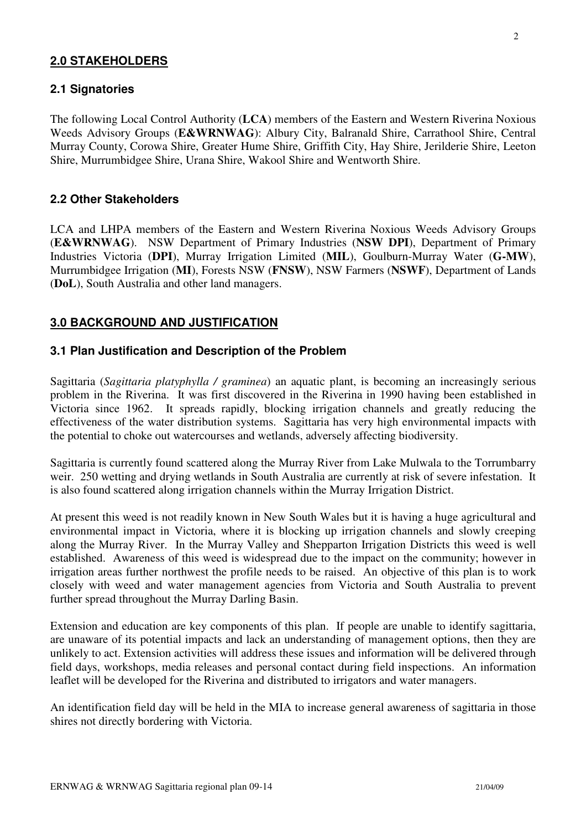#### **2.0 STAKEHOLDERS**

#### **2.1 Signatories**

The following Local Control Authority (**LCA**) members of the Eastern and Western Riverina Noxious Weeds Advisory Groups (**E&WRNWAG**): Albury City, Balranald Shire, Carrathool Shire, Central Murray County, Corowa Shire, Greater Hume Shire, Griffith City, Hay Shire, Jerilderie Shire, Leeton Shire, Murrumbidgee Shire, Urana Shire, Wakool Shire and Wentworth Shire.

#### **2.2 Other Stakeholders**

LCA and LHPA members of the Eastern and Western Riverina Noxious Weeds Advisory Groups (**E&WRNWAG**). NSW Department of Primary Industries (**NSW DPI**), Department of Primary Industries Victoria (**DPI**), Murray Irrigation Limited (**MIL**), Goulburn-Murray Water (**G-MW**), Murrumbidgee Irrigation (**MI**), Forests NSW (**FNSW**), NSW Farmers (**NSWF**), Department of Lands (**DoL**), South Australia and other land managers.

#### **3.0 BACKGROUND AND JUSTIFICATION**

#### **3.1 Plan Justification and Description of the Problem**

Sagittaria (*Sagittaria platyphylla / graminea*) an aquatic plant, is becoming an increasingly serious problem in the Riverina. It was first discovered in the Riverina in 1990 having been established in Victoria since 1962. It spreads rapidly, blocking irrigation channels and greatly reducing the effectiveness of the water distribution systems. Sagittaria has very high environmental impacts with the potential to choke out watercourses and wetlands, adversely affecting biodiversity.

Sagittaria is currently found scattered along the Murray River from Lake Mulwala to the Torrumbarry weir. 250 wetting and drying wetlands in South Australia are currently at risk of severe infestation. It is also found scattered along irrigation channels within the Murray Irrigation District.

At present this weed is not readily known in New South Wales but it is having a huge agricultural and environmental impact in Victoria, where it is blocking up irrigation channels and slowly creeping along the Murray River. In the Murray Valley and Shepparton Irrigation Districts this weed is well established. Awareness of this weed is widespread due to the impact on the community; however in irrigation areas further northwest the profile needs to be raised. An objective of this plan is to work closely with weed and water management agencies from Victoria and South Australia to prevent further spread throughout the Murray Darling Basin.

Extension and education are key components of this plan. If people are unable to identify sagittaria, are unaware of its potential impacts and lack an understanding of management options, then they are unlikely to act. Extension activities will address these issues and information will be delivered through field days, workshops, media releases and personal contact during field inspections. An information leaflet will be developed for the Riverina and distributed to irrigators and water managers.

An identification field day will be held in the MIA to increase general awareness of sagittaria in those shires not directly bordering with Victoria.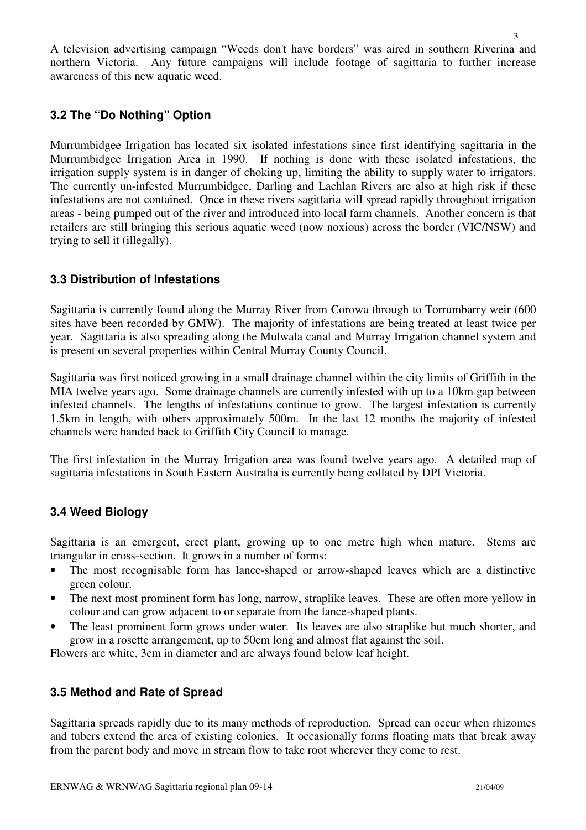A television advertising campaign "Weeds don't have borders" was aired in southern Riverina and northern Victoria. Any future campaigns will include footage of sagittaria to further increase awareness of this new aquatic weed.

### **3.2 The "Do Nothing" Option**

Murrumbidgee Irrigation has located six isolated infestations since first identifying sagittaria in the Murrumbidgee Irrigation Area in 1990. If nothing is done with these isolated infestations, the irrigation supply system is in danger of choking up, limiting the ability to supply water to irrigators. The currently un-infested Murrumbidgee, Darling and Lachlan Rivers are also at high risk if these infestations are not contained. Once in these rivers sagittaria will spread rapidly throughout irrigation areas - being pumped out of the river and introduced into local farm channels. Another concern is that retailers are still bringing this serious aquatic weed (now noxious) across the border (VIC/NSW) and trying to sell it (illegally).

### **3.3 Distribution of Infestations**

Sagittaria is currently found along the Murray River from Corowa through to Torrumbarry weir (600 sites have been recorded by GMW). The majority of infestations are being treated at least twice per year. Sagittaria is also spreading along the Mulwala canal and Murray Irrigation channel system and is present on several properties within Central Murray County Council.

Sagittaria was first noticed growing in a small drainage channel within the city limits of Griffith in the MIA twelve years ago. Some drainage channels are currently infested with up to a 10km gap between infested channels. The lengths of infestations continue to grow. The largest infestation is currently 1.5km in length, with others approximately 500m. In the last 12 months the majority of infested channels were handed back to Griffith City Council to manage.

The first infestation in the Murray Irrigation area was found twelve years ago. A detailed map of sagittaria infestations in South Eastern Australia is currently being collated by DPI Victoria.

### **3.4 Weed Biology**

Sagittaria is an emergent, erect plant, growing up to one metre high when mature. Stems are triangular in cross-section. It grows in a number of forms:

- The most recognisable form has lance-shaped or arrow-shaped leaves which are a distinctive green colour.
- The next most prominent form has long, narrow, straplike leaves. These are often more yellow in colour and can grow adjacent to or separate from the lance-shaped plants.
- The least prominent form grows under water. Its leaves are also straplike but much shorter, and grow in a rosette arrangement, up to 50cm long and almost flat against the soil.

Flowers are white, 3cm in diameter and are always found below leaf height.

### **3.5 Method and Rate of Spread**

Sagittaria spreads rapidly due to its many methods of reproduction. Spread can occur when rhizomes and tubers extend the area of existing colonies. It occasionally forms floating mats that break away from the parent body and move in stream flow to take root wherever they come to rest.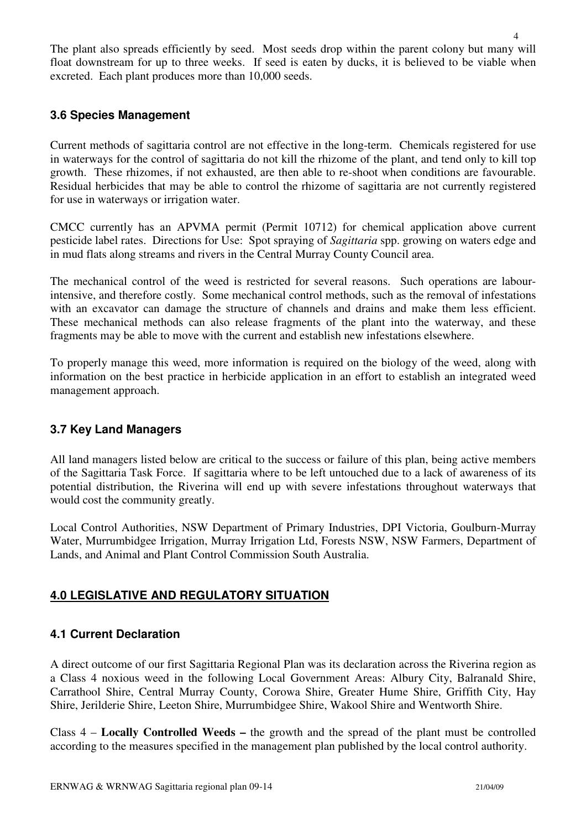The plant also spreads efficiently by seed. Most seeds drop within the parent colony but many will float downstream for up to three weeks. If seed is eaten by ducks, it is believed to be viable when excreted. Each plant produces more than 10,000 seeds.

### **3.6 Species Management**

Current methods of sagittaria control are not effective in the long-term. Chemicals registered for use in waterways for the control of sagittaria do not kill the rhizome of the plant, and tend only to kill top growth. These rhizomes, if not exhausted, are then able to re-shoot when conditions are favourable. Residual herbicides that may be able to control the rhizome of sagittaria are not currently registered for use in waterways or irrigation water.

CMCC currently has an APVMA permit (Permit 10712) for chemical application above current pesticide label rates. Directions for Use: Spot spraying of *Sagittaria* spp. growing on waters edge and in mud flats along streams and rivers in the Central Murray County Council area.

The mechanical control of the weed is restricted for several reasons. Such operations are labourintensive, and therefore costly. Some mechanical control methods, such as the removal of infestations with an excavator can damage the structure of channels and drains and make them less efficient. These mechanical methods can also release fragments of the plant into the waterway, and these fragments may be able to move with the current and establish new infestations elsewhere.

To properly manage this weed, more information is required on the biology of the weed, along with information on the best practice in herbicide application in an effort to establish an integrated weed management approach.

### **3.7 Key Land Managers**

All land managers listed below are critical to the success or failure of this plan, being active members of the Sagittaria Task Force. If sagittaria where to be left untouched due to a lack of awareness of its potential distribution, the Riverina will end up with severe infestations throughout waterways that would cost the community greatly.

Local Control Authorities, NSW Department of Primary Industries, DPI Victoria, Goulburn-Murray Water, Murrumbidgee Irrigation, Murray Irrigation Ltd, Forests NSW, NSW Farmers, Department of Lands, and Animal and Plant Control Commission South Australia.

### **4.0 LEGISLATIVE AND REGULATORY SITUATION**

### **4.1 Current Declaration**

A direct outcome of our first Sagittaria Regional Plan was its declaration across the Riverina region as a Class 4 noxious weed in the following Local Government Areas: Albury City, Balranald Shire, Carrathool Shire, Central Murray County, Corowa Shire, Greater Hume Shire, Griffith City, Hay Shire, Jerilderie Shire, Leeton Shire, Murrumbidgee Shire, Wakool Shire and Wentworth Shire.

Class 4 – **Locally Controlled Weeds –** the growth and the spread of the plant must be controlled according to the measures specified in the management plan published by the local control authority.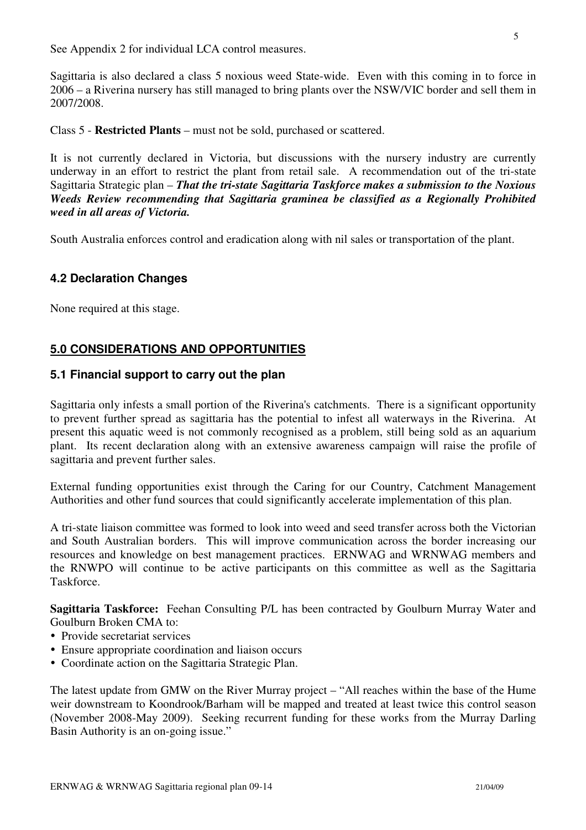See Appendix 2 for individual LCA control measures.

Sagittaria is also declared a class 5 noxious weed State-wide. Even with this coming in to force in 2006 – a Riverina nursery has still managed to bring plants over the NSW/VIC border and sell them in 2007/2008.

Class 5 - **Restricted Plants** – must not be sold, purchased or scattered.

It is not currently declared in Victoria, but discussions with the nursery industry are currently underway in an effort to restrict the plant from retail sale. A recommendation out of the tri-state Sagittaria Strategic plan – *That the tri-state Sagittaria Taskforce makes a submission to the Noxious Weeds Review recommending that Sagittaria graminea be classified as a Regionally Prohibited weed in all areas of Victoria.*

South Australia enforces control and eradication along with nil sales or transportation of the plant.

#### **4.2 Declaration Changes**

None required at this stage.

### **5.0 CONSIDERATIONS AND OPPORTUNITIES**

#### **5.1 Financial support to carry out the plan**

Sagittaria only infests a small portion of the Riverina's catchments. There is a significant opportunity to prevent further spread as sagittaria has the potential to infest all waterways in the Riverina. At present this aquatic weed is not commonly recognised as a problem, still being sold as an aquarium plant. Its recent declaration along with an extensive awareness campaign will raise the profile of sagittaria and prevent further sales.

External funding opportunities exist through the Caring for our Country, Catchment Management Authorities and other fund sources that could significantly accelerate implementation of this plan.

A tri-state liaison committee was formed to look into weed and seed transfer across both the Victorian and South Australian borders. This will improve communication across the border increasing our resources and knowledge on best management practices. ERNWAG and WRNWAG members and the RNWPO will continue to be active participants on this committee as well as the Sagittaria Taskforce.

**Sagittaria Taskforce:** Feehan Consulting P/L has been contracted by Goulburn Murray Water and Goulburn Broken CMA to:

- Provide secretariat services
- Ensure appropriate coordination and liaison occurs
- Coordinate action on the Sagittaria Strategic Plan.

The latest update from GMW on the River Murray project – "All reaches within the base of the Hume weir downstream to Koondrook/Barham will be mapped and treated at least twice this control season (November 2008-May 2009). Seeking recurrent funding for these works from the Murray Darling Basin Authority is an on-going issue."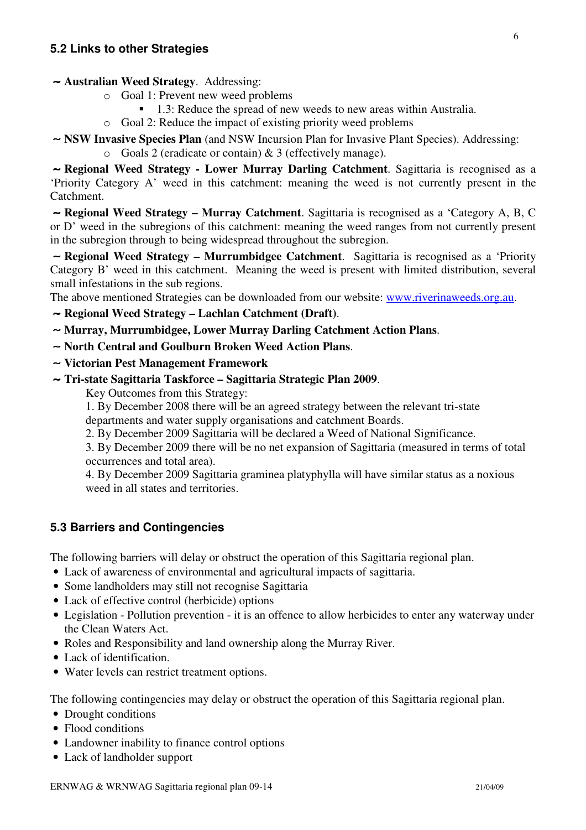#### ∼ **Australian Weed Strategy**. Addressing:

- o Goal 1: Prevent new weed problems
	- -1.3: Reduce the spread of new weeds to new areas within Australia.
- o Goal 2: Reduce the impact of existing priority weed problems
- ∼ **NSW Invasive Species Plan** (and NSW Incursion Plan for Invasive Plant Species). Addressing:
	- o Goals 2 (eradicate or contain) & 3 (effectively manage).

∼ **Regional Weed Strategy - Lower Murray Darling Catchment**. Sagittaria is recognised as a 'Priority Category A' weed in this catchment: meaning the weed is not currently present in the Catchment.

∼ **Regional Weed Strategy – Murray Catchment**. Sagittaria is recognised as a 'Category A, B, C or D' weed in the subregions of this catchment: meaning the weed ranges from not currently present in the subregion through to being widespread throughout the subregion.

∼ **Regional Weed Strategy – Murrumbidgee Catchment**. Sagittaria is recognised as a 'Priority Category B' weed in this catchment. Meaning the weed is present with limited distribution, several small infestations in the sub regions.

The above mentioned Strategies can be downloaded from our website: www.riverinaweeds.org.au.

- ∼ **Regional Weed Strategy – Lachlan Catchment (Draft)**.
- ∼ **Murray, Murrumbidgee, Lower Murray Darling Catchment Action Plans**.
- ∼ **North Central and Goulburn Broken Weed Action Plans**.
- ∼ **Victorian Pest Management Framework**
- ∼ **Tri-state Sagittaria Taskforce – Sagittaria Strategic Plan 2009**.

Key Outcomes from this Strategy:

1. By December 2008 there will be an agreed strategy between the relevant tri-state departments and water supply organisations and catchment Boards.

2. By December 2009 Sagittaria will be declared a Weed of National Significance.

3. By December 2009 there will be no net expansion of Sagittaria (measured in terms of total occurrences and total area).

4. By December 2009 Sagittaria graminea platyphylla will have similar status as a noxious weed in all states and territories.

### **5.3 Barriers and Contingencies**

The following barriers will delay or obstruct the operation of this Sagittaria regional plan.

- Lack of awareness of environmental and agricultural impacts of sagittaria.
- Some landholders may still not recognise Sagittaria
- Lack of effective control (herbicide) options
- Legislation Pollution prevention it is an offence to allow herbicides to enter any waterway under the Clean Waters Act.
- Roles and Responsibility and land ownership along the Murray River.
- Lack of identification.
- Water levels can restrict treatment options.

The following contingencies may delay or obstruct the operation of this Sagittaria regional plan.

- Drought conditions
- Flood conditions
- Landowner inability to finance control options
- Lack of landholder support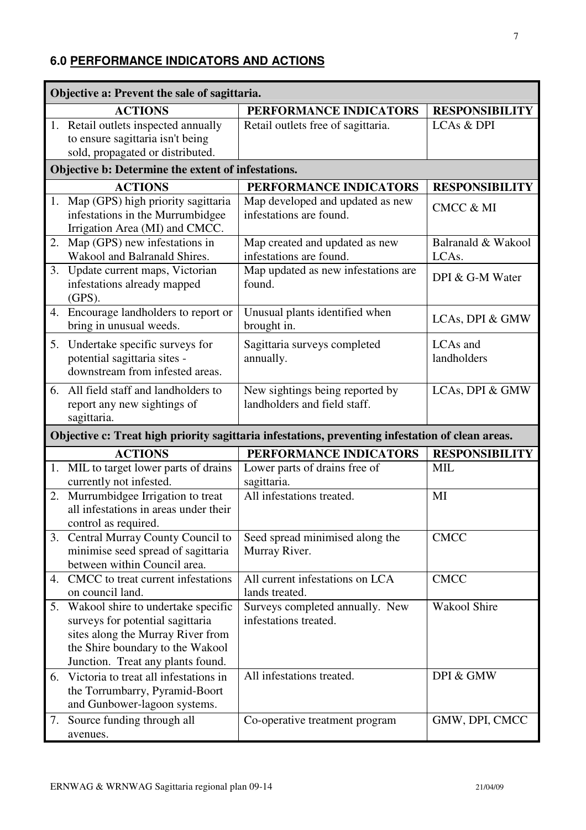### **6.0 PERFORMANCE INDICATORS AND ACTIONS**

|    | Objective a: Prevent the sale of sagittaria.                                                                                                                                         |                                                                                                  |                             |  |  |
|----|--------------------------------------------------------------------------------------------------------------------------------------------------------------------------------------|--------------------------------------------------------------------------------------------------|-----------------------------|--|--|
|    | <b>ACTIONS</b>                                                                                                                                                                       | PERFORMANCE INDICATORS                                                                           | <b>RESPONSIBILITY</b>       |  |  |
|    | 1. Retail outlets inspected annually                                                                                                                                                 | Retail outlets free of sagittaria.                                                               | LCAs & DPI                  |  |  |
|    | to ensure sagittaria isn't being                                                                                                                                                     |                                                                                                  |                             |  |  |
|    | sold, propagated or distributed.                                                                                                                                                     |                                                                                                  |                             |  |  |
|    | Objective b: Determine the extent of infestations.                                                                                                                                   |                                                                                                  |                             |  |  |
|    | <b>ACTIONS</b>                                                                                                                                                                       | PERFORMANCE INDICATORS                                                                           | <b>RESPONSIBILITY</b>       |  |  |
|    | 1. Map (GPS) high priority sagittaria<br>infestations in the Murrumbidgee<br>Irrigation Area (MI) and CMCC.                                                                          | Map developed and updated as new<br>infestations are found.                                      | <b>CMCC &amp; MI</b>        |  |  |
| 2. | Map (GPS) new infestations in<br>Wakool and Balranald Shires.                                                                                                                        | Map created and updated as new<br>infestations are found.                                        | Balranald & Wakool<br>LCAs. |  |  |
| 3. | Update current maps, Victorian<br>infestations already mapped<br>$(GPS)$ .                                                                                                           | Map updated as new infestations are<br>found.                                                    | DPI & G-M Water             |  |  |
|    | 4. Encourage landholders to report or<br>bring in unusual weeds.                                                                                                                     | Unusual plants identified when<br>brought in.                                                    | LCAs, DPI & GMW             |  |  |
| 5. | Undertake specific surveys for<br>potential sagittaria sites -<br>downstream from infested areas.                                                                                    | Sagittaria surveys completed<br>annually.                                                        | LCAs and<br>landholders     |  |  |
|    | 6. All field staff and landholders to<br>report any new sightings of<br>sagittaria.                                                                                                  | New sightings being reported by<br>landholders and field staff.                                  | LCAs, DPI & GMW             |  |  |
|    |                                                                                                                                                                                      | Objective c: Treat high priority sagittaria infestations, preventing infestation of clean areas. |                             |  |  |
|    | <b>ACTIONS</b>                                                                                                                                                                       | PERFORMANCE INDICATORS                                                                           | <b>RESPONSIBILITY</b>       |  |  |
| 1. | MIL to target lower parts of drains<br>currently not infested.                                                                                                                       | Lower parts of drains free of<br>sagittaria.                                                     | <b>MIL</b>                  |  |  |
| 2. | Murrumbidgee Irrigation to treat<br>all infestations in areas under their<br>control as required.                                                                                    | All infestations treated.                                                                        | MI                          |  |  |
|    | 3. Central Murray County Council to<br>minimise seed spread of sagittaria<br>between within Council area.                                                                            | Seed spread minimised along the<br>Murray River.                                                 | <b>CMCC</b>                 |  |  |
| 4. | CMCC to treat current infestations<br>on council land.                                                                                                                               | All current infestations on LCA<br>lands treated.                                                | <b>CMCC</b>                 |  |  |
| 5. | Wakool shire to undertake specific<br>surveys for potential sagittaria<br>sites along the Murray River from<br>the Shire boundary to the Wakool<br>Junction. Treat any plants found. | Surveys completed annually. New<br>infestations treated.                                         | Wakool Shire                |  |  |
| 6. | Victoria to treat all infestations in<br>the Torrumbarry, Pyramid-Boort<br>and Gunbower-lagoon systems.                                                                              | All infestations treated.                                                                        | DPI & GMW                   |  |  |
| 7. | Source funding through all<br>avenues.                                                                                                                                               | Co-operative treatment program                                                                   | GMW, DPI, CMCC              |  |  |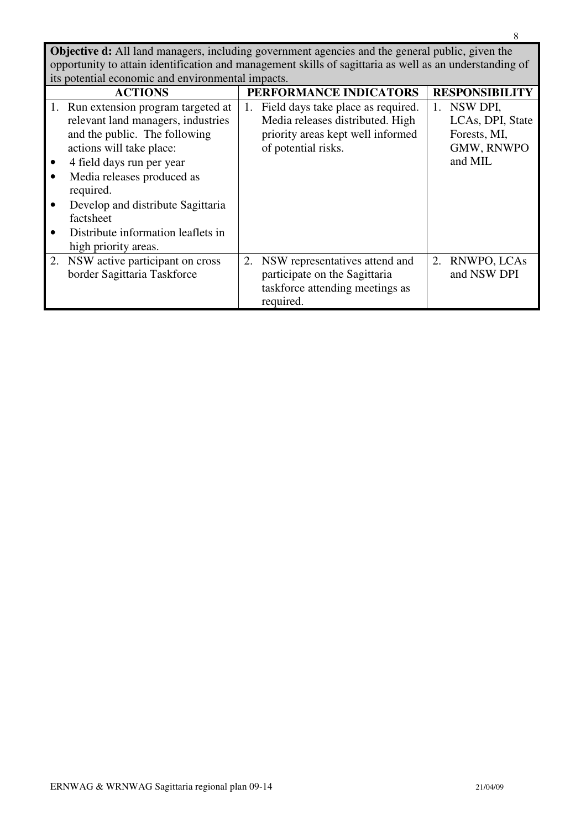**Objective d:** All land managers, including government agencies and the general public, given the opportunity to attain identification and management skills of sagittaria as well as an understanding of its potential economic and environmental impacts.

| <u>no potentiai economic and environmental impacto.</u>                                                                                                      |    |                                                                                                                                    |  |                                                            |  |
|--------------------------------------------------------------------------------------------------------------------------------------------------------------|----|------------------------------------------------------------------------------------------------------------------------------------|--|------------------------------------------------------------|--|
| <b>ACTIONS</b>                                                                                                                                               |    | PERFORMANCE INDICATORS                                                                                                             |  | <b>RESPONSIBILITY</b>                                      |  |
| 1. Run extension program targeted at<br>relevant land managers, industries<br>and the public. The following<br>actions will take place:                      | 1. | Field days take place as required.<br>Media releases distributed. High<br>priority areas kept well informed<br>of potential risks. |  | NSW DPI,<br>LCAs, DPI, State<br>Forests, MI,<br>GMW, RNWPO |  |
| 4 field days run per year<br>Media releases produced as<br>required.<br>Develop and distribute Sagittaria<br>factsheet<br>Distribute information leaflets in |    |                                                                                                                                    |  | and MIL                                                    |  |
| high priority areas.<br>2. NSW active participant on cross<br>border Sagittaria Taskforce                                                                    | 2. | NSW representatives attend and<br>participate on the Sagittaria<br>taskforce attending meetings as<br>required.                    |  | 2. RNWPO, LCAs<br>and NSW DPI                              |  |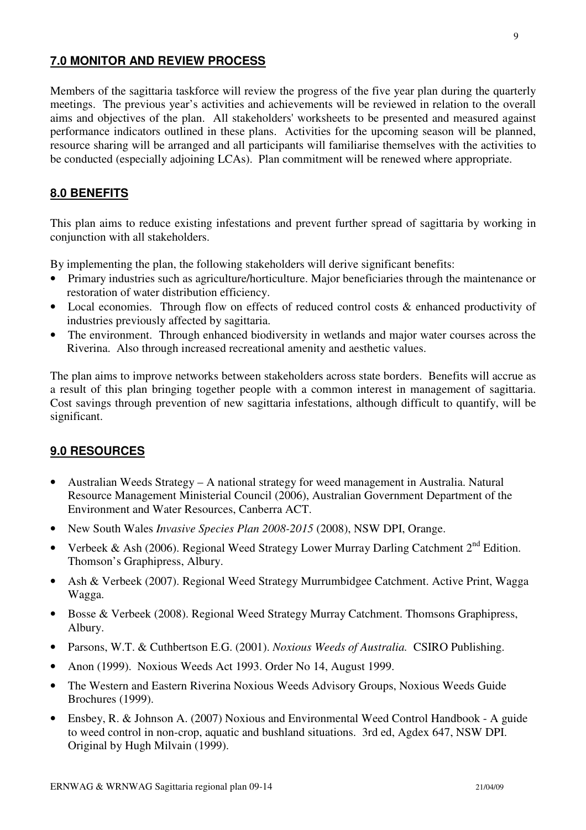### **7.0 MONITOR AND REVIEW PROCESS**

Members of the sagittaria taskforce will review the progress of the five year plan during the quarterly meetings. The previous year's activities and achievements will be reviewed in relation to the overall aims and objectives of the plan. All stakeholders' worksheets to be presented and measured against performance indicators outlined in these plans. Activities for the upcoming season will be planned, resource sharing will be arranged and all participants will familiarise themselves with the activities to be conducted (especially adjoining LCAs). Plan commitment will be renewed where appropriate.

### **8.0 BENEFITS**

This plan aims to reduce existing infestations and prevent further spread of sagittaria by working in conjunction with all stakeholders.

By implementing the plan, the following stakeholders will derive significant benefits:

- Primary industries such as agriculture/horticulture. Major beneficiaries through the maintenance or restoration of water distribution efficiency.
- Local economies. Through flow on effects of reduced control costs & enhanced productivity of industries previously affected by sagittaria.
- The environment. Through enhanced biodiversity in wetlands and major water courses across the Riverina. Also through increased recreational amenity and aesthetic values.

The plan aims to improve networks between stakeholders across state borders. Benefits will accrue as a result of this plan bringing together people with a common interest in management of sagittaria. Cost savings through prevention of new sagittaria infestations, although difficult to quantify, will be significant.

### **9.0 RESOURCES**

- Australian Weeds Strategy A national strategy for weed management in Australia. Natural Resource Management Ministerial Council (2006), Australian Government Department of the Environment and Water Resources, Canberra ACT.
- New South Wales *Invasive Species Plan 2008-2015* (2008), NSW DPI, Orange.
- Verbeek & Ash (2006). Regional Weed Strategy Lower Murray Darling Catchment  $2^{nd}$  Edition. Thomson's Graphipress, Albury.
- Ash & Verbeek (2007). Regional Weed Strategy Murrumbidgee Catchment. Active Print, Wagga Wagga.
- Bosse & Verbeek (2008). Regional Weed Strategy Murray Catchment. Thomsons Graphipress, Albury.
- Parsons, W.T. & Cuthbertson E.G. (2001). *Noxious Weeds of Australia.* CSIRO Publishing.
- Anon (1999). Noxious Weeds Act 1993. Order No 14, August 1999.
- The Western and Eastern Riverina Noxious Weeds Advisory Groups, Noxious Weeds Guide Brochures (1999).
- Ensbey, R. & Johnson A. (2007) Noxious and Environmental Weed Control Handbook A guide to weed control in non-crop, aquatic and bushland situations. 3rd ed, Agdex 647, NSW DPI. Original by Hugh Milvain (1999).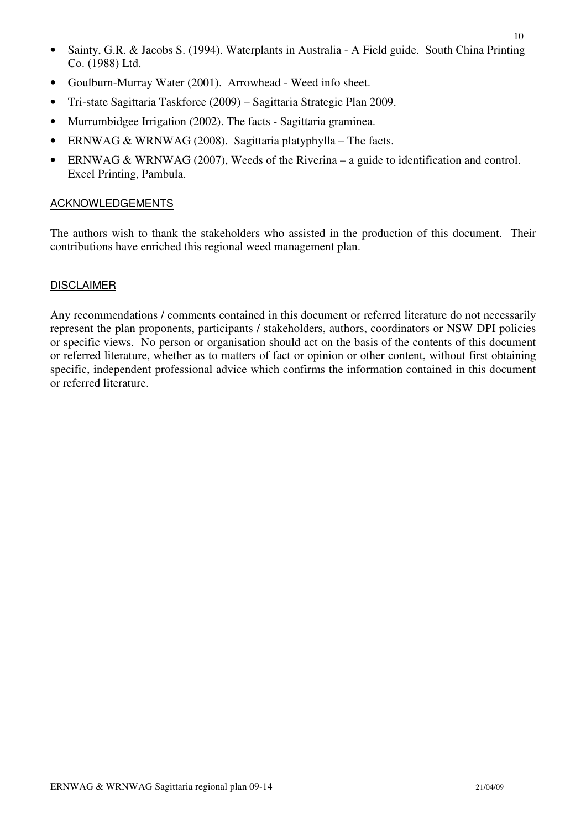- Sainty, G.R. & Jacobs S. (1994). Waterplants in Australia A Field guide. South China Printing Co. (1988) Ltd.
- Goulburn-Murray Water (2001). Arrowhead Weed info sheet.
- Tri-state Sagittaria Taskforce (2009) Sagittaria Strategic Plan 2009.
- Murrumbidgee Irrigation (2002). The facts Sagittaria graminea.
- ERNWAG & WRNWAG (2008). Sagittaria platyphylla The facts.
- ERNWAG & WRNWAG (2007), Weeds of the Riverina a guide to identification and control. Excel Printing, Pambula.

#### **ACKNOWLEDGEMENTS**

The authors wish to thank the stakeholders who assisted in the production of this document. Their contributions have enriched this regional weed management plan.

#### DISCLAIMER

Any recommendations / comments contained in this document or referred literature do not necessarily represent the plan proponents, participants / stakeholders, authors, coordinators or NSW DPI policies or specific views. No person or organisation should act on the basis of the contents of this document or referred literature, whether as to matters of fact or opinion or other content, without first obtaining specific, independent professional advice which confirms the information contained in this document or referred literature.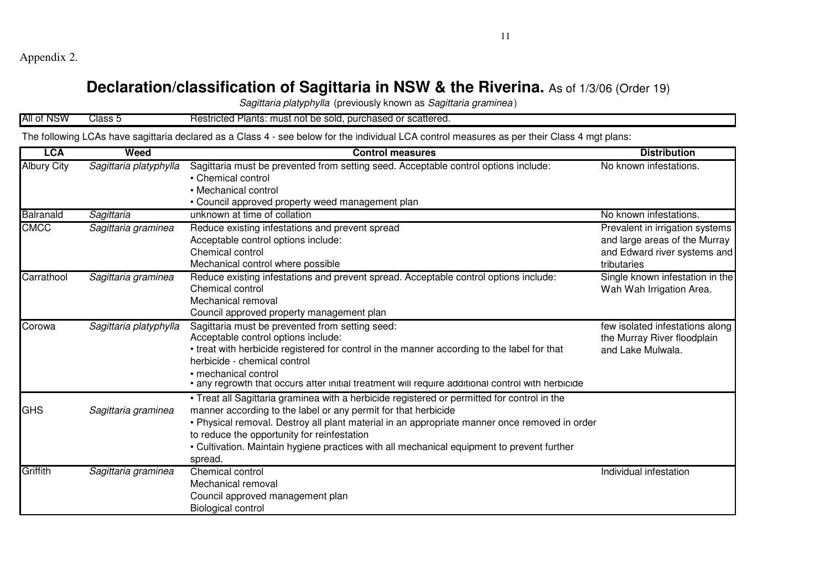Appendix 2.

## **Declaration/classification of Sagittaria in NSW & the Riverina.** As of 1/3/06 (Order 19)

*Sagittaria platyphylla* (previously known as *Sagittaria graminea* )

| All of NSW                                                                                                                                   | Class 5                | Restricted Plants: must not be sold, purchased or scattered.                                                                                                                                                                                                                                                                                                                                                           |                                                                                                                 |  |
|----------------------------------------------------------------------------------------------------------------------------------------------|------------------------|------------------------------------------------------------------------------------------------------------------------------------------------------------------------------------------------------------------------------------------------------------------------------------------------------------------------------------------------------------------------------------------------------------------------|-----------------------------------------------------------------------------------------------------------------|--|
| The following LCAs have sagittaria declared as a Class 4 - see below for the individual LCA control measures as per their Class 4 mgt plans: |                        |                                                                                                                                                                                                                                                                                                                                                                                                                        |                                                                                                                 |  |
| <b>LCA</b>                                                                                                                                   | Weed                   | <b>Control measures</b>                                                                                                                                                                                                                                                                                                                                                                                                | <b>Distribution</b>                                                                                             |  |
| <b>Albury City</b>                                                                                                                           | Sagittaria platyphylla | Sagittaria must be prevented from setting seed. Acceptable control options include:<br>• Chemical control<br>• Mechanical control<br>• Council approved property weed management plan                                                                                                                                                                                                                                  | No known infestations.                                                                                          |  |
| Balranald                                                                                                                                    | Sagittaria             | unknown at time of collation                                                                                                                                                                                                                                                                                                                                                                                           | No known infestations.                                                                                          |  |
| <b>CMCC</b>                                                                                                                                  | Sagittaria graminea    | Reduce existing infestations and prevent spread<br>Acceptable control options include:<br>Chemical control<br>Mechanical control where possible                                                                                                                                                                                                                                                                        | Prevalent in irrigation systems<br>and large areas of the Murray<br>and Edward river systems and<br>tributaries |  |
| Carrathool                                                                                                                                   | Sagittaria graminea    | Reduce existing infestations and prevent spread. Acceptable control options include:<br>Chemical control<br>Mechanical removal<br>Council approved property management plan                                                                                                                                                                                                                                            | Single known infestation in the<br>Wah Wah Irrigation Area.                                                     |  |
| Corowa                                                                                                                                       | Sagittaria platyphylla | Sagittaria must be prevented from setting seed:<br>Acceptable control options include:<br>• treat with herbicide registered for control in the manner according to the label for that<br>herbicide - chemical control<br>· mechanical control<br>• any regrowth that occurs atter initial treatment will require additional control with herbicide                                                                     | few isolated infestations along<br>the Murray River floodplain<br>and Lake Mulwala.                             |  |
| <b>GHS</b>                                                                                                                                   | Sagittaria graminea    | • Treat all Sagittaria graminea with a herbicide registered or permitted for control in the<br>manner according to the label or any permit for that herbicide<br>• Physical removal. Destroy all plant material in an appropriate manner once removed in order<br>to reduce the opportunity for reinfestation<br>• Cultivation. Maintain hygiene practices with all mechanical equipment to prevent further<br>spread. |                                                                                                                 |  |
| Griffith                                                                                                                                     | Sagittaria graminea    | Chemical control<br>Mechanical removal<br>Council approved management plan<br><b>Biological control</b>                                                                                                                                                                                                                                                                                                                | Individual infestation                                                                                          |  |